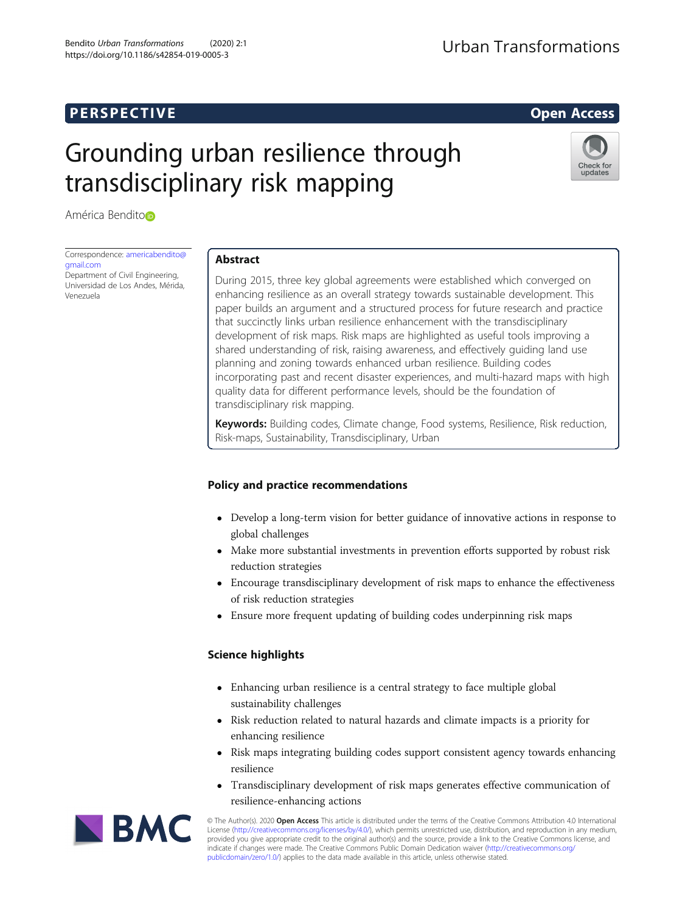# **PERSPECTIVE CONSIDERING ACCESS**

# Grounding urban resilience through transdisciplinary risk mapping



América Bendit[o](http://orcid.org/0000-0003-0299-7097)

Correspondence: [americabendito@](mailto:americabendito@gmail.com) [gmail.com](mailto:americabendito@gmail.com)

Department of Civil Engineering, Universidad de Los Andes, Mérida, Venezuela

# Abstract

During 2015, three key global agreements were established which converged on enhancing resilience as an overall strategy towards sustainable development. This paper builds an argument and a structured process for future research and practice that succinctly links urban resilience enhancement with the transdisciplinary development of risk maps. Risk maps are highlighted as useful tools improving a shared understanding of risk, raising awareness, and effectively guiding land use planning and zoning towards enhanced urban resilience. Building codes incorporating past and recent disaster experiences, and multi-hazard maps with high quality data for different performance levels, should be the foundation of transdisciplinary risk mapping.

Keywords: Building codes, Climate change, Food systems, Resilience, Risk reduction, Risk-maps, Sustainability, Transdisciplinary, Urban

# Policy and practice recommendations

- Develop a long-term vision for better guidance of innovative actions in response to global challenges
- Make more substantial investments in prevention efforts supported by robust risk reduction strategies
- Encourage transdisciplinary development of risk maps to enhance the effectiveness of risk reduction strategies
- Ensure more frequent updating of building codes underpinning risk maps

# Science highlights

- Enhancing urban resilience is a central strategy to face multiple global sustainability challenges
- Risk reduction related to natural hazards and climate impacts is a priority for enhancing resilience
- Risk maps integrating building codes support consistent agency towards enhancing resilience
- Transdisciplinary development of risk maps generates effective communication of resilience-enhancing actions



© The Author(s). 2020 Open Access This article is distributed under the terms of the Creative Commons Attribution 4.0 International License ([http://creativecommons.org/licenses/by/4.0/\)](http://creativecommons.org/licenses/by/4.0/), which permits unrestricted use, distribution, and reproduction in any medium, provided you give appropriate credit to the original author(s) and the source, provide a link to the Creative Commons license, and indicate if changes were made. The Creative Commons Public Domain Dedication waiver ([http://creativecommons.org/](http://creativecommons.org/publicdomain/zero/1.0/) [publicdomain/zero/1.0/\)](http://creativecommons.org/publicdomain/zero/1.0/) applies to the data made available in this article, unless otherwise stated.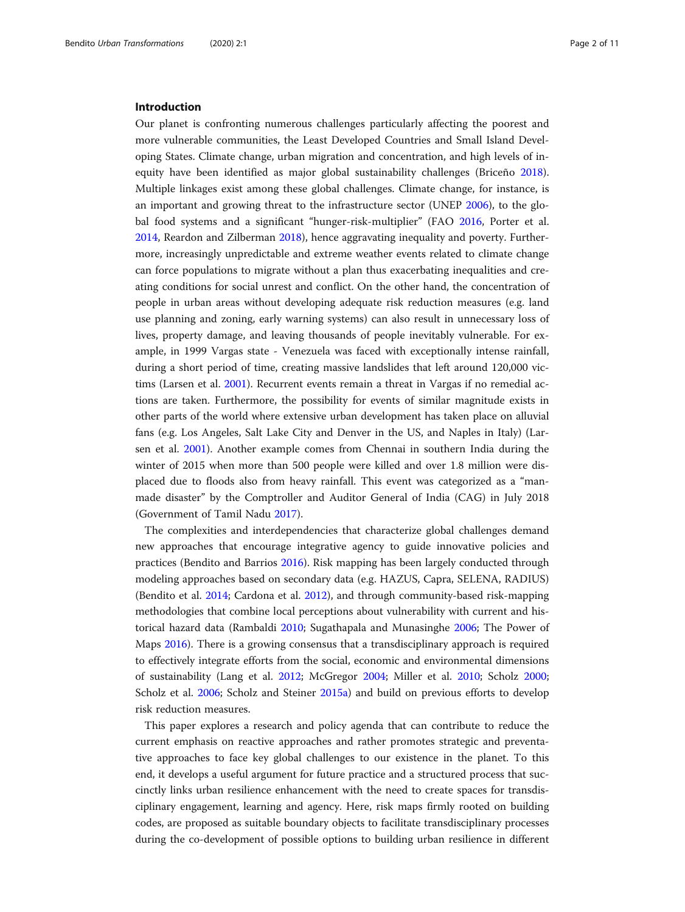#### Introduction

Our planet is confronting numerous challenges particularly affecting the poorest and more vulnerable communities, the Least Developed Countries and Small Island Developing States. Climate change, urban migration and concentration, and high levels of inequity have been identified as major global sustainability challenges (Briceño [2018](#page-9-0)). Multiple linkages exist among these global challenges. Climate change, for instance, is an important and growing threat to the infrastructure sector (UNEP [2006\)](#page-10-0), to the global food systems and a significant "hunger-risk-multiplier" (FAO [2016](#page-9-0), Porter et al. [2014](#page-9-0), Reardon and Zilberman [2018](#page-10-0)), hence aggravating inequality and poverty. Furthermore, increasingly unpredictable and extreme weather events related to climate change can force populations to migrate without a plan thus exacerbating inequalities and creating conditions for social unrest and conflict. On the other hand, the concentration of people in urban areas without developing adequate risk reduction measures (e.g. land use planning and zoning, early warning systems) can also result in unnecessary loss of lives, property damage, and leaving thousands of people inevitably vulnerable. For example, in 1999 Vargas state - Venezuela was faced with exceptionally intense rainfall, during a short period of time, creating massive landslides that left around 120,000 victims (Larsen et al. [2001\)](#page-9-0). Recurrent events remain a threat in Vargas if no remedial actions are taken. Furthermore, the possibility for events of similar magnitude exists in other parts of the world where extensive urban development has taken place on alluvial fans (e.g. Los Angeles, Salt Lake City and Denver in the US, and Naples in Italy) (Larsen et al. [2001\)](#page-9-0). Another example comes from Chennai in southern India during the winter of 2015 when more than 500 people were killed and over 1.8 million were displaced due to floods also from heavy rainfall. This event was categorized as a "manmade disaster" by the Comptroller and Auditor General of India (CAG) in July 2018 (Government of Tamil Nadu [2017](#page-9-0)).

The complexities and interdependencies that characterize global challenges demand new approaches that encourage integrative agency to guide innovative policies and practices (Bendito and Barrios [2016\)](#page-9-0). Risk mapping has been largely conducted through modeling approaches based on secondary data (e.g. HAZUS, Capra, SELENA, RADIUS) (Bendito et al. [2014](#page-9-0); Cardona et al. [2012](#page-9-0)), and through community-based risk-mapping methodologies that combine local perceptions about vulnerability with current and historical hazard data (Rambaldi [2010;](#page-9-0) Sugathapala and Munasinghe [2006;](#page-10-0) The Power of Maps [2016\)](#page-10-0). There is a growing consensus that a transdisciplinary approach is required to effectively integrate efforts from the social, economic and environmental dimensions of sustainability (Lang et al. [2012;](#page-9-0) McGregor [2004](#page-9-0); Miller et al. [2010;](#page-9-0) Scholz [2000](#page-10-0); Scholz et al. [2006;](#page-10-0) Scholz and Steiner [2015a\)](#page-10-0) and build on previous efforts to develop risk reduction measures.

This paper explores a research and policy agenda that can contribute to reduce the current emphasis on reactive approaches and rather promotes strategic and preventative approaches to face key global challenges to our existence in the planet. To this end, it develops a useful argument for future practice and a structured process that succinctly links urban resilience enhancement with the need to create spaces for transdisciplinary engagement, learning and agency. Here, risk maps firmly rooted on building codes, are proposed as suitable boundary objects to facilitate transdisciplinary processes during the co-development of possible options to building urban resilience in different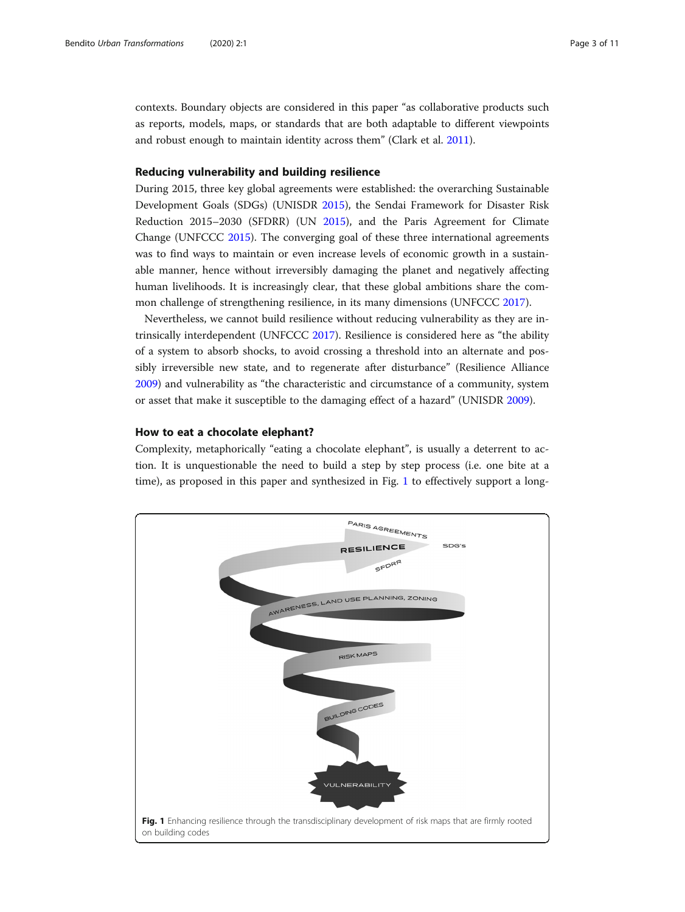<span id="page-2-0"></span>contexts. Boundary objects are considered in this paper "as collaborative products such as reports, models, maps, or standards that are both adaptable to different viewpoints and robust enough to maintain identity across them" (Clark et al. [2011](#page-9-0)).

# Reducing vulnerability and building resilience

During 2015, three key global agreements were established: the overarching Sustainable Development Goals (SDGs) (UNISDR [2015\)](#page-10-0), the Sendai Framework for Disaster Risk Reduction 2015–2030 (SFDRR) (UN [2015\)](#page-10-0), and the Paris Agreement for Climate Change (UNFCCC [2015\)](#page-10-0). The converging goal of these three international agreements was to find ways to maintain or even increase levels of economic growth in a sustainable manner, hence without irreversibly damaging the planet and negatively affecting human livelihoods. It is increasingly clear, that these global ambitions share the common challenge of strengthening resilience, in its many dimensions (UNFCCC [2017](#page-10-0)).

Nevertheless, we cannot build resilience without reducing vulnerability as they are intrinsically interdependent (UNFCCC [2017](#page-10-0)). Resilience is considered here as "the ability of a system to absorb shocks, to avoid crossing a threshold into an alternate and possibly irreversible new state, and to regenerate after disturbance" (Resilience Alliance [2009](#page-10-0)) and vulnerability as "the characteristic and circumstance of a community, system or asset that make it susceptible to the damaging effect of a hazard" (UNISDR [2009](#page-10-0)).

# How to eat a chocolate elephant?

Complexity, metaphorically "eating a chocolate elephant", is usually a deterrent to action. It is unquestionable the need to build a step by step process (i.e. one bite at a time), as proposed in this paper and synthesized in Fig. 1 to effectively support a long-

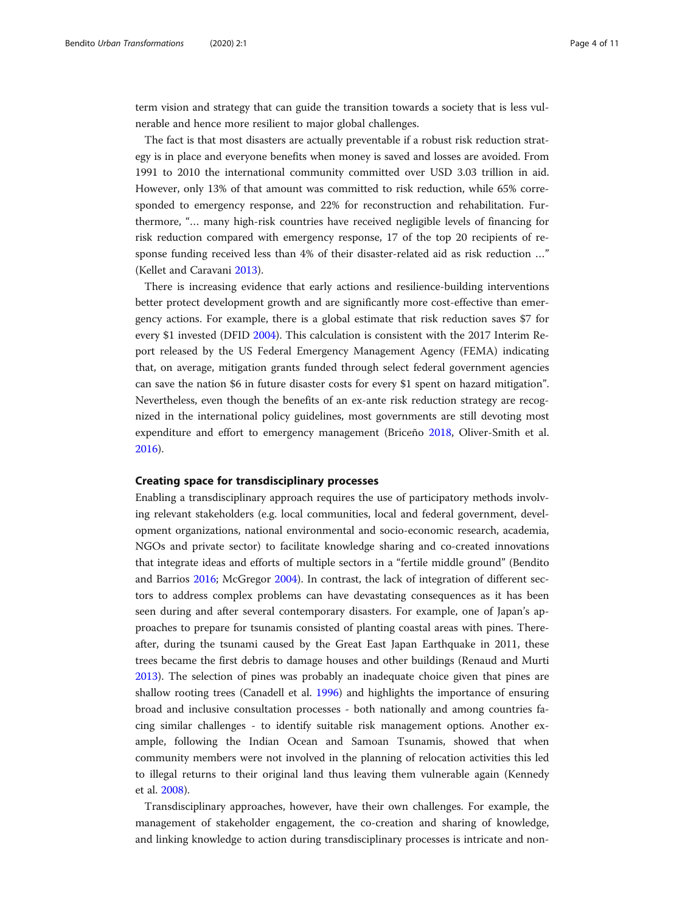term vision and strategy that can guide the transition towards a society that is less vulnerable and hence more resilient to major global challenges.

The fact is that most disasters are actually preventable if a robust risk reduction strategy is in place and everyone benefits when money is saved and losses are avoided. From 1991 to 2010 the international community committed over USD 3.03 trillion in aid. However, only 13% of that amount was committed to risk reduction, while 65% corresponded to emergency response, and 22% for reconstruction and rehabilitation. Furthermore, "… many high-risk countries have received negligible levels of financing for risk reduction compared with emergency response, 17 of the top 20 recipients of response funding received less than 4% of their disaster-related aid as risk reduction …" (Kellet and Caravani [2013\)](#page-9-0).

There is increasing evidence that early actions and resilience-building interventions better protect development growth and are significantly more cost-effective than emergency actions. For example, there is a global estimate that risk reduction saves \$7 for every \$1 invested (DFID [2004\)](#page-9-0). This calculation is consistent with the 2017 Interim Report released by the US Federal Emergency Management Agency (FEMA) indicating that, on average, mitigation grants funded through select federal government agencies can save the nation \$6 in future disaster costs for every \$1 spent on hazard mitigation". Nevertheless, even though the benefits of an ex-ante risk reduction strategy are recognized in the international policy guidelines, most governments are still devoting most expenditure and effort to emergency management (Briceño [2018,](#page-9-0) Oliver-Smith et al. [2016](#page-9-0)).

#### Creating space for transdisciplinary processes

Enabling a transdisciplinary approach requires the use of participatory methods involving relevant stakeholders (e.g. local communities, local and federal government, development organizations, national environmental and socio-economic research, academia, NGOs and private sector) to facilitate knowledge sharing and co-created innovations that integrate ideas and efforts of multiple sectors in a "fertile middle ground" (Bendito and Barrios [2016;](#page-9-0) McGregor [2004\)](#page-9-0). In contrast, the lack of integration of different sectors to address complex problems can have devastating consequences as it has been seen during and after several contemporary disasters. For example, one of Japan's approaches to prepare for tsunamis consisted of planting coastal areas with pines. Thereafter, during the tsunami caused by the Great East Japan Earthquake in 2011, these trees became the first debris to damage houses and other buildings (Renaud and Murti [2013](#page-10-0)). The selection of pines was probably an inadequate choice given that pines are shallow rooting trees (Canadell et al. [1996\)](#page-9-0) and highlights the importance of ensuring broad and inclusive consultation processes - both nationally and among countries facing similar challenges - to identify suitable risk management options. Another example, following the Indian Ocean and Samoan Tsunamis, showed that when community members were not involved in the planning of relocation activities this led to illegal returns to their original land thus leaving them vulnerable again (Kennedy et al. [2008\)](#page-9-0).

Transdisciplinary approaches, however, have their own challenges. For example, the management of stakeholder engagement, the co-creation and sharing of knowledge, and linking knowledge to action during transdisciplinary processes is intricate and non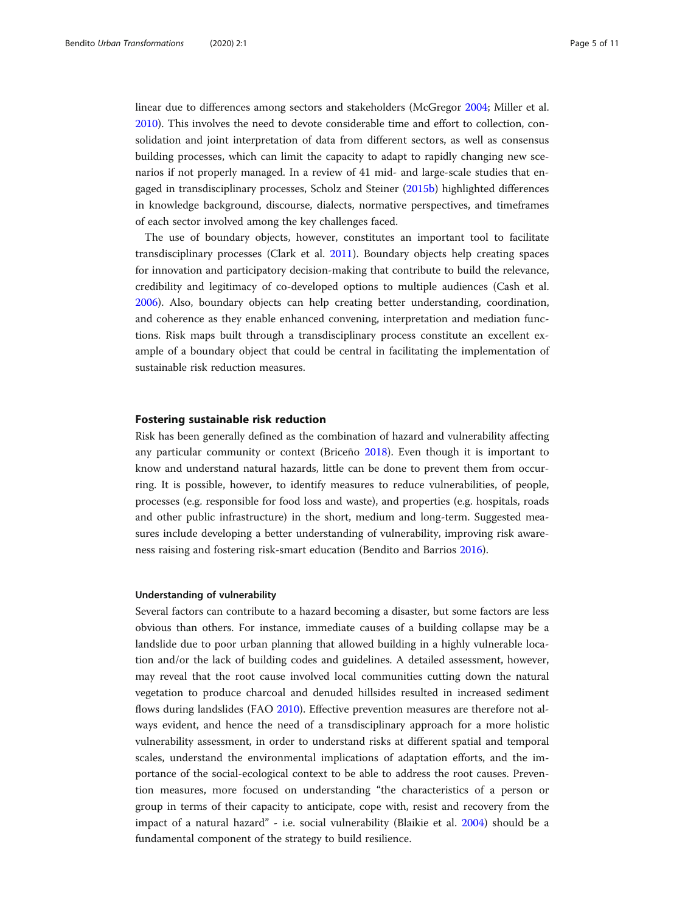linear due to differences among sectors and stakeholders (McGregor [2004](#page-9-0); Miller et al. [2010](#page-9-0)). This involves the need to devote considerable time and effort to collection, consolidation and joint interpretation of data from different sectors, as well as consensus building processes, which can limit the capacity to adapt to rapidly changing new scenarios if not properly managed. In a review of 41 mid- and large-scale studies that engaged in transdisciplinary processes, Scholz and Steiner [\(2015b](#page-10-0)) highlighted differences in knowledge background, discourse, dialects, normative perspectives, and timeframes of each sector involved among the key challenges faced.

The use of boundary objects, however, constitutes an important tool to facilitate transdisciplinary processes (Clark et al. [2011\)](#page-9-0). Boundary objects help creating spaces for innovation and participatory decision-making that contribute to build the relevance, credibility and legitimacy of co-developed options to multiple audiences (Cash et al. [2006](#page-9-0)). Also, boundary objects can help creating better understanding, coordination, and coherence as they enable enhanced convening, interpretation and mediation functions. Risk maps built through a transdisciplinary process constitute an excellent example of a boundary object that could be central in facilitating the implementation of sustainable risk reduction measures.

# Fostering sustainable risk reduction

Risk has been generally defined as the combination of hazard and vulnerability affecting any particular community or context (Briceño [2018\)](#page-9-0). Even though it is important to know and understand natural hazards, little can be done to prevent them from occurring. It is possible, however, to identify measures to reduce vulnerabilities, of people, processes (e.g. responsible for food loss and waste), and properties (e.g. hospitals, roads and other public infrastructure) in the short, medium and long-term. Suggested measures include developing a better understanding of vulnerability, improving risk awareness raising and fostering risk-smart education (Bendito and Barrios [2016\)](#page-9-0).

#### Understanding of vulnerability

Several factors can contribute to a hazard becoming a disaster, but some factors are less obvious than others. For instance, immediate causes of a building collapse may be a landslide due to poor urban planning that allowed building in a highly vulnerable location and/or the lack of building codes and guidelines. A detailed assessment, however, may reveal that the root cause involved local communities cutting down the natural vegetation to produce charcoal and denuded hillsides resulted in increased sediment flows during landslides (FAO [2010](#page-9-0)). Effective prevention measures are therefore not always evident, and hence the need of a transdisciplinary approach for a more holistic vulnerability assessment, in order to understand risks at different spatial and temporal scales, understand the environmental implications of adaptation efforts, and the importance of the social-ecological context to be able to address the root causes. Prevention measures, more focused on understanding "the characteristics of a person or group in terms of their capacity to anticipate, cope with, resist and recovery from the impact of a natural hazard" - i.e. social vulnerability (Blaikie et al. [2004](#page-9-0)) should be a fundamental component of the strategy to build resilience.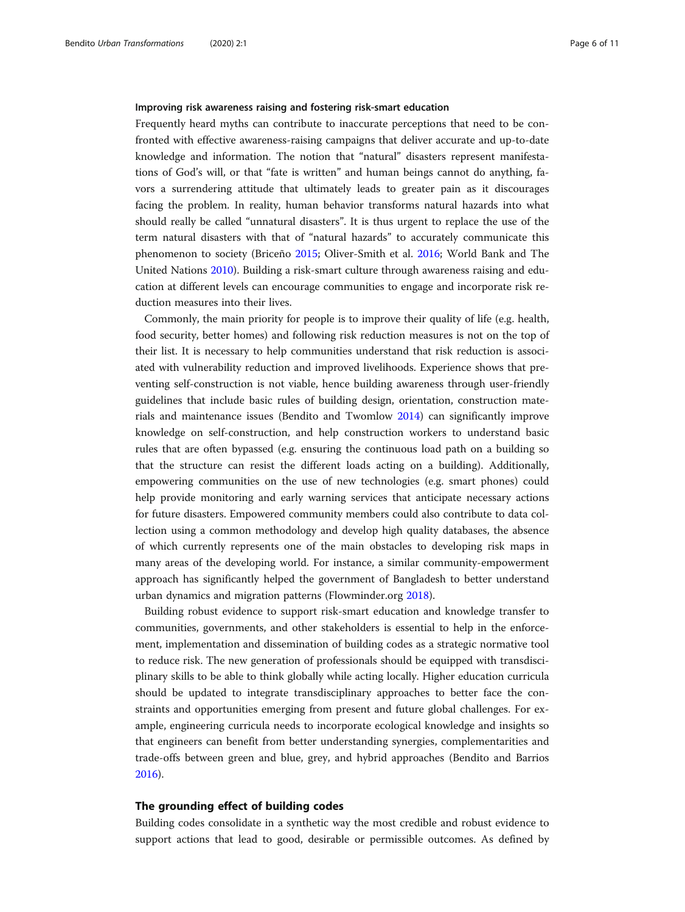#### Improving risk awareness raising and fostering risk-smart education

Frequently heard myths can contribute to inaccurate perceptions that need to be confronted with effective awareness-raising campaigns that deliver accurate and up-to-date knowledge and information. The notion that "natural" disasters represent manifestations of God's will, or that "fate is written" and human beings cannot do anything, favors a surrendering attitude that ultimately leads to greater pain as it discourages facing the problem. In reality, human behavior transforms natural hazards into what should really be called "unnatural disasters". It is thus urgent to replace the use of the term natural disasters with that of "natural hazards" to accurately communicate this phenomenon to society (Briceño [2015](#page-9-0); Oliver-Smith et al. [2016;](#page-9-0) World Bank and The United Nations [2010\)](#page-10-0). Building a risk-smart culture through awareness raising and education at different levels can encourage communities to engage and incorporate risk reduction measures into their lives.

Commonly, the main priority for people is to improve their quality of life (e.g. health, food security, better homes) and following risk reduction measures is not on the top of their list. It is necessary to help communities understand that risk reduction is associated with vulnerability reduction and improved livelihoods. Experience shows that preventing self-construction is not viable, hence building awareness through user-friendly guidelines that include basic rules of building design, orientation, construction materials and maintenance issues (Bendito and Twomlow [2014](#page-9-0)) can significantly improve knowledge on self-construction, and help construction workers to understand basic rules that are often bypassed (e.g. ensuring the continuous load path on a building so that the structure can resist the different loads acting on a building). Additionally, empowering communities on the use of new technologies (e.g. smart phones) could help provide monitoring and early warning services that anticipate necessary actions for future disasters. Empowered community members could also contribute to data collection using a common methodology and develop high quality databases, the absence of which currently represents one of the main obstacles to developing risk maps in many areas of the developing world. For instance, a similar community-empowerment approach has significantly helped the government of Bangladesh to better understand urban dynamics and migration patterns (Flowminder.org [2018](#page-9-0)).

Building robust evidence to support risk-smart education and knowledge transfer to communities, governments, and other stakeholders is essential to help in the enforcement, implementation and dissemination of building codes as a strategic normative tool to reduce risk. The new generation of professionals should be equipped with transdisciplinary skills to be able to think globally while acting locally. Higher education curricula should be updated to integrate transdisciplinary approaches to better face the constraints and opportunities emerging from present and future global challenges. For example, engineering curricula needs to incorporate ecological knowledge and insights so that engineers can benefit from better understanding synergies, complementarities and trade-offs between green and blue, grey, and hybrid approaches (Bendito and Barrios [2016](#page-9-0)).

# The grounding effect of building codes

Building codes consolidate in a synthetic way the most credible and robust evidence to support actions that lead to good, desirable or permissible outcomes. As defined by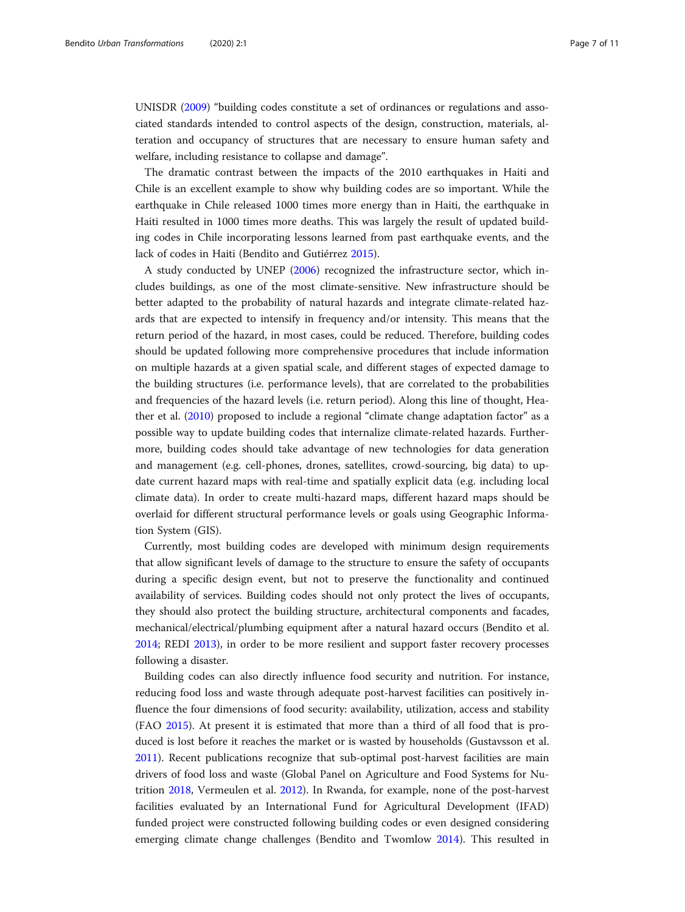UNISDR [\(2009\)](#page-10-0) "building codes constitute a set of ordinances or regulations and associated standards intended to control aspects of the design, construction, materials, alteration and occupancy of structures that are necessary to ensure human safety and welfare, including resistance to collapse and damage".

The dramatic contrast between the impacts of the 2010 earthquakes in Haiti and Chile is an excellent example to show why building codes are so important. While the earthquake in Chile released 1000 times more energy than in Haiti, the earthquake in Haiti resulted in 1000 times more deaths. This was largely the result of updated building codes in Chile incorporating lessons learned from past earthquake events, and the lack of codes in Haiti (Bendito and Gutiérrez [2015\)](#page-9-0).

A study conducted by UNEP [\(2006](#page-10-0)) recognized the infrastructure sector, which includes buildings, as one of the most climate-sensitive. New infrastructure should be better adapted to the probability of natural hazards and integrate climate-related hazards that are expected to intensify in frequency and/or intensity. This means that the return period of the hazard, in most cases, could be reduced. Therefore, building codes should be updated following more comprehensive procedures that include information on multiple hazards at a given spatial scale, and different stages of expected damage to the building structures (i.e. performance levels), that are correlated to the probabilities and frequencies of the hazard levels (i.e. return period). Along this line of thought, Heather et al. [\(2010\)](#page-9-0) proposed to include a regional "climate change adaptation factor" as a possible way to update building codes that internalize climate-related hazards. Furthermore, building codes should take advantage of new technologies for data generation and management (e.g. cell-phones, drones, satellites, crowd-sourcing, big data) to update current hazard maps with real-time and spatially explicit data (e.g. including local climate data). In order to create multi-hazard maps, different hazard maps should be overlaid for different structural performance levels or goals using Geographic Information System (GIS).

Currently, most building codes are developed with minimum design requirements that allow significant levels of damage to the structure to ensure the safety of occupants during a specific design event, but not to preserve the functionality and continued availability of services. Building codes should not only protect the lives of occupants, they should also protect the building structure, architectural components and facades, mechanical/electrical/plumbing equipment after a natural hazard occurs (Bendito et al. [2014](#page-9-0); REDI [2013](#page-10-0)), in order to be more resilient and support faster recovery processes following a disaster.

Building codes can also directly influence food security and nutrition. For instance, reducing food loss and waste through adequate post-harvest facilities can positively influence the four dimensions of food security: availability, utilization, access and stability (FAO [2015](#page-9-0)). At present it is estimated that more than a third of all food that is produced is lost before it reaches the market or is wasted by households (Gustavsson et al. [2011](#page-9-0)). Recent publications recognize that sub-optimal post-harvest facilities are main drivers of food loss and waste (Global Panel on Agriculture and Food Systems for Nutrition [2018](#page-9-0), Vermeulen et al. [2012](#page-10-0)). In Rwanda, for example, none of the post-harvest facilities evaluated by an International Fund for Agricultural Development (IFAD) funded project were constructed following building codes or even designed considering emerging climate change challenges (Bendito and Twomlow [2014\)](#page-9-0). This resulted in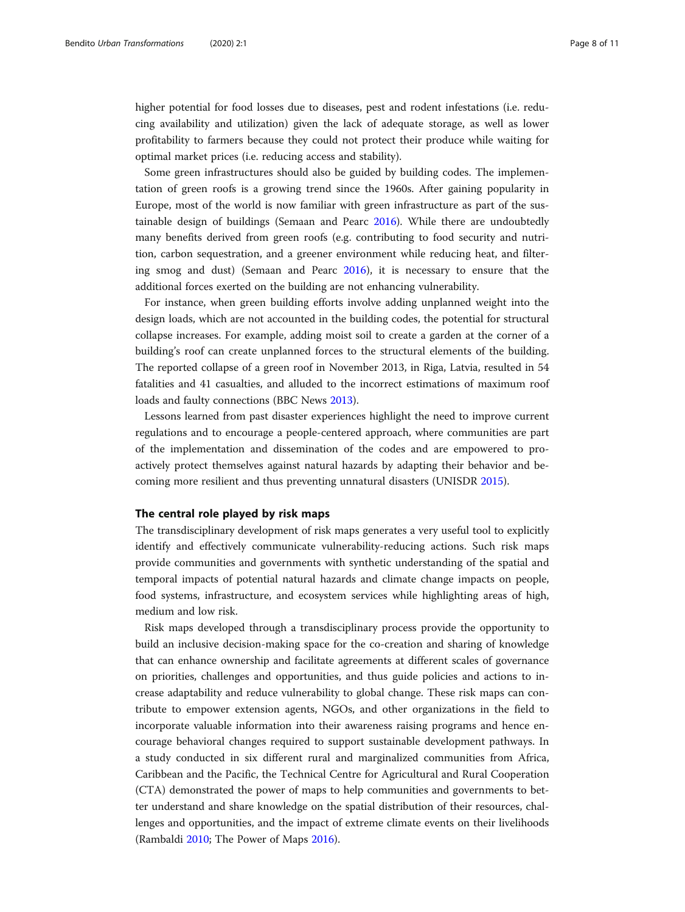higher potential for food losses due to diseases, pest and rodent infestations (i.e. reducing availability and utilization) given the lack of adequate storage, as well as lower profitability to farmers because they could not protect their produce while waiting for optimal market prices (i.e. reducing access and stability).

Some green infrastructures should also be guided by building codes. The implementation of green roofs is a growing trend since the 1960s. After gaining popularity in Europe, most of the world is now familiar with green infrastructure as part of the sustainable design of buildings (Semaan and Pearc [2016\)](#page-10-0). While there are undoubtedly many benefits derived from green roofs (e.g. contributing to food security and nutrition, carbon sequestration, and a greener environment while reducing heat, and filtering smog and dust) (Semaan and Pearc [2016\)](#page-10-0), it is necessary to ensure that the additional forces exerted on the building are not enhancing vulnerability.

For instance, when green building efforts involve adding unplanned weight into the design loads, which are not accounted in the building codes, the potential for structural collapse increases. For example, adding moist soil to create a garden at the corner of a building's roof can create unplanned forces to the structural elements of the building. The reported collapse of a green roof in November 2013, in Riga, Latvia, resulted in 54 fatalities and 41 casualties, and alluded to the incorrect estimations of maximum roof loads and faulty connections (BBC News [2013\)](#page-9-0).

Lessons learned from past disaster experiences highlight the need to improve current regulations and to encourage a people-centered approach, where communities are part of the implementation and dissemination of the codes and are empowered to proactively protect themselves against natural hazards by adapting their behavior and becoming more resilient and thus preventing unnatural disasters (UNISDR [2015\)](#page-10-0).

# The central role played by risk maps

The transdisciplinary development of risk maps generates a very useful tool to explicitly identify and effectively communicate vulnerability-reducing actions. Such risk maps provide communities and governments with synthetic understanding of the spatial and temporal impacts of potential natural hazards and climate change impacts on people, food systems, infrastructure, and ecosystem services while highlighting areas of high, medium and low risk.

Risk maps developed through a transdisciplinary process provide the opportunity to build an inclusive decision-making space for the co-creation and sharing of knowledge that can enhance ownership and facilitate agreements at different scales of governance on priorities, challenges and opportunities, and thus guide policies and actions to increase adaptability and reduce vulnerability to global change. These risk maps can contribute to empower extension agents, NGOs, and other organizations in the field to incorporate valuable information into their awareness raising programs and hence encourage behavioral changes required to support sustainable development pathways. In a study conducted in six different rural and marginalized communities from Africa, Caribbean and the Pacific, the Technical Centre for Agricultural and Rural Cooperation (CTA) demonstrated the power of maps to help communities and governments to better understand and share knowledge on the spatial distribution of their resources, challenges and opportunities, and the impact of extreme climate events on their livelihoods (Rambaldi [2010;](#page-9-0) The Power of Maps [2016\)](#page-10-0).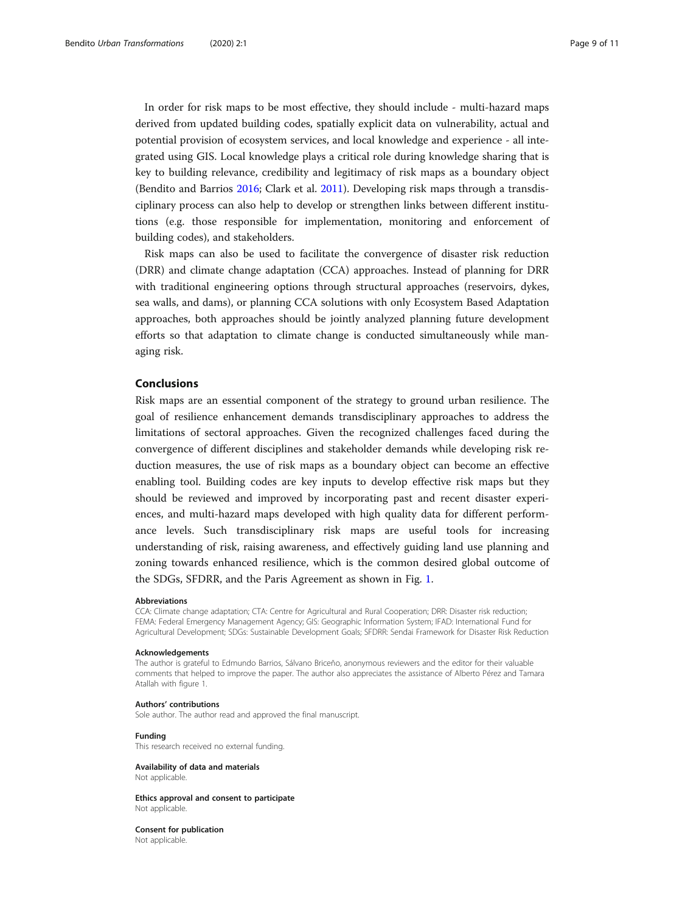In order for risk maps to be most effective, they should include - multi-hazard maps derived from updated building codes, spatially explicit data on vulnerability, actual and potential provision of ecosystem services, and local knowledge and experience - all integrated using GIS. Local knowledge plays a critical role during knowledge sharing that is key to building relevance, credibility and legitimacy of risk maps as a boundary object (Bendito and Barrios [2016;](#page-9-0) Clark et al. [2011\)](#page-9-0). Developing risk maps through a transdisciplinary process can also help to develop or strengthen links between different institutions (e.g. those responsible for implementation, monitoring and enforcement of building codes), and stakeholders.

Risk maps can also be used to facilitate the convergence of disaster risk reduction (DRR) and climate change adaptation (CCA) approaches. Instead of planning for DRR with traditional engineering options through structural approaches (reservoirs, dykes, sea walls, and dams), or planning CCA solutions with only Ecosystem Based Adaptation approaches, both approaches should be jointly analyzed planning future development efforts so that adaptation to climate change is conducted simultaneously while managing risk.

#### Conclusions

Risk maps are an essential component of the strategy to ground urban resilience. The goal of resilience enhancement demands transdisciplinary approaches to address the limitations of sectoral approaches. Given the recognized challenges faced during the convergence of different disciplines and stakeholder demands while developing risk reduction measures, the use of risk maps as a boundary object can become an effective enabling tool. Building codes are key inputs to develop effective risk maps but they should be reviewed and improved by incorporating past and recent disaster experiences, and multi-hazard maps developed with high quality data for different performance levels. Such transdisciplinary risk maps are useful tools for increasing understanding of risk, raising awareness, and effectively guiding land use planning and zoning towards enhanced resilience, which is the common desired global outcome of the SDGs, SFDRR, and the Paris Agreement as shown in Fig. [1.](#page-2-0)

#### Abbreviations

CCA: Climate change adaptation; CTA: Centre for Agricultural and Rural Cooperation; DRR: Disaster risk reduction; FEMA: Federal Emergency Management Agency; GIS: Geographic Information System; IFAD: International Fund for Agricultural Development; SDGs: Sustainable Development Goals; SFDRR: Sendai Framework for Disaster Risk Reduction

#### Acknowledgements

The author is grateful to Edmundo Barrios, Sálvano Briceño, anonymous reviewers and the editor for their valuable comments that helped to improve the paper. The author also appreciates the assistance of Alberto Pérez and Tamara Atallah with figure 1.

#### Authors' contributions

Sole author. The author read and approved the final manuscript.

#### Funding

This research received no external funding.

# Availability of data and materials

Not applicable.

#### Ethics approval and consent to participate Not applicable.

Consent for publication Not applicable.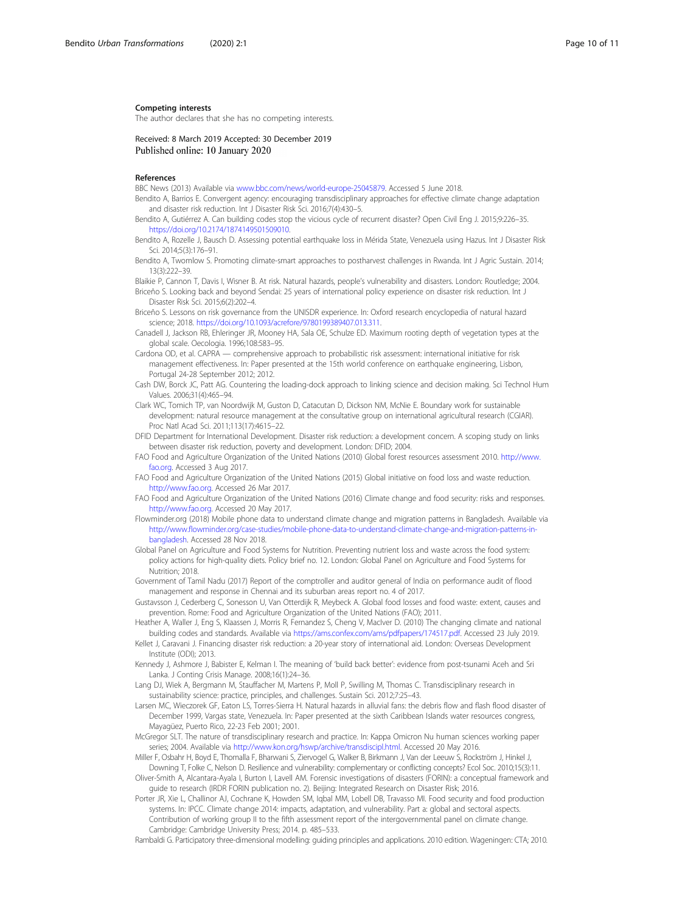#### <span id="page-9-0"></span>Competing interests

The author declares that she has no competing interests.

Received: 8 March 2019 Accepted: 30 December 2019 Published online: 10 January 2020

#### References

BBC News (2013) Available via [www.bbc.com/news/world-europe-25045879.](http://www.bbc.com/news/world-europe-25045879) Accessed 5 June 2018.

- Bendito A, Barrios E. Convergent agency: encouraging transdisciplinary approaches for effective climate change adaptation and disaster risk reduction. Int J Disaster Risk Sci. 2016;7(4):430–5.
- Bendito A, Gutiérrez A. Can building codes stop the vicious cycle of recurrent disaster? Open Civil Eng J. 2015;9:226–35. <https://doi.org/10.2174/1874149501509010>.
- Bendito A, Rozelle J, Bausch D. Assessing potential earthquake loss in Mérida State, Venezuela using Hazus. Int J Disaster Risk Sci. 2014;5(3):176–91.
- Bendito A, Twomlow S. Promoting climate-smart approaches to postharvest challenges in Rwanda. Int J Agric Sustain. 2014;  $13(3):222-39$

Blaikie P, Cannon T, Davis I, Wisner B. At risk. Natural hazards, people's vulnerability and disasters. London: Routledge; 2004. Briceño S. Looking back and beyond Sendai: 25 years of international policy experience on disaster risk reduction. Int J Disaster Risk Sci. 2015;6(2):202–4.

- Briceño S. Lessons on risk governance from the UNISDR experience. In: Oxford research encyclopedia of natural hazard science; 2018. [https://doi.org/10.1093/acrefore/9780199389407.013.311.](https://doi.org/10.1093/acrefore/9780199389407.013.311)
- Canadell J, Jackson RB, Ehleringer JR, Mooney HA, Sala OE, Schulze ED. Maximum rooting depth of vegetation types at the global scale. Oecologia. 1996;108:583–95.
- Cardona OD, et al. CAPRA comprehensive approach to probabilistic risk assessment: international initiative for risk management effectiveness. In: Paper presented at the 15th world conference on earthquake engineering, Lisbon, Portugal 24-28 September 2012; 2012.
- Cash DW, Borck JC, Patt AG. Countering the loading-dock approach to linking science and decision making. Sci Technol Hum Values. 2006;31(4):465–94.
- Clark WC, Tomich TP, van Noordwijk M, Guston D, Catacutan D, Dickson NM, McNie E. Boundary work for sustainable development: natural resource management at the consultative group on international agricultural research (CGIAR). Proc Natl Acad Sci. 2011;113(17):4615–22.
- DFID Department for International Development. Disaster risk reduction: a development concern. A scoping study on links between disaster risk reduction, poverty and development. London: DFID; 2004.
- FAO Food and Agriculture Organization of the United Nations (2010) Global forest resources assessment 2010. [http://www.](http://www.fao.org) [fao.org](http://www.fao.org). Accessed 3 Aug 2017.
- FAO Food and Agriculture Organization of the United Nations (2015) Global initiative on food loss and waste reduction. [http://www.fao.org.](http://www.fao.org) Accessed 26 Mar 2017.
- FAO Food and Agriculture Organization of the United Nations (2016) Climate change and food security: risks and responses. [http://www.fao.org.](http://www.fao.org) Accessed 20 May 2017.
- Flowminder.org (2018) Mobile phone data to understand climate change and migration patterns in Bangladesh. Available via [http://www.flowminder.org/case-studies/mobile-phone-data-to-understand-climate-change-and-migration-patterns-in](http://www.flowminder.org/case-studies/mobile-phone-data-to-understand-climate-change-and-migration-patterns-in-bangladesh)[bangladesh.](http://www.flowminder.org/case-studies/mobile-phone-data-to-understand-climate-change-and-migration-patterns-in-bangladesh) Accessed 28 Nov 2018.
- Global Panel on Agriculture and Food Systems for Nutrition. Preventing nutrient loss and waste across the food system: policy actions for high-quality diets. Policy brief no. 12. London: Global Panel on Agriculture and Food Systems for Nutrition; 2018.
- Government of Tamil Nadu (2017) Report of the comptroller and auditor general of India on performance audit of flood management and response in Chennai and its suburban areas report no. 4 of 2017.
- Gustavsson J, Cederberg C, Sonesson U, Van Otterdijk R, Meybeck A. Global food losses and food waste: extent, causes and prevention. Rome: Food and Agriculture Organization of the United Nations (FAO); 2011.
- Heather A, Waller J, Eng S, Klaassen J, Morris R, Fernandez S, Cheng V, MacIver D. (2010) The changing climate and national building codes and standards. Available via <https://ams.confex.com/ams/pdfpapers/174517.pdf>. Accessed 23 July 2019.
- Kellet J, Caravani J. Financing disaster risk reduction: a 20-year story of international aid. London: Overseas Development Institute (ODI); 2013.
- Kennedy J, Ashmore J, Babister E, Kelman I. The meaning of 'build back better': evidence from post-tsunami Aceh and Sri Lanka. J Conting Crisis Manage. 2008;16(1):24–36.
- Lang DJ, Wiek A, Bergmann M, Stauffacher M, Martens P, Moll P, Swilling M, Thomas C. Transdisciplinary research in sustainability science: practice, principles, and challenges. Sustain Sci. 2012;7:25–43.
- Larsen MC, Wieczorek GF, Eaton LS, Torres-Sierra H. Natural hazards in alluvial fans: the debris flow and flash flood disaster of December 1999, Vargas state, Venezuela. In: Paper presented at the sixth Caribbean Islands water resources congress, Mayagüez, Puerto Rico, 22-23 Feb 2001; 2001.
- McGregor SLT. The nature of transdisciplinary research and practice. In: Kappa Omicron Nu human sciences working paper series; 2004. Available via <http://www.kon.org/hswp/archive/transdiscipl.html>. Accessed 20 May 2016.
- Miller F, Osbahr H, Boyd E, Thomalla F, Bharwani S, Ziervogel G, Walker B, Birkmann J, Van der Leeuw S, Rockström J, Hinkel J, Downing T, Folke C, Nelson D. Resilience and vulnerability: complementary or conflicting concepts? Ecol Soc. 2010;15(3):11.
- Oliver-Smith A, Alcantara-Ayala I, Burton I, Lavell AM. Forensic investigations of disasters (FORIN): a conceptual framework and guide to research (IRDR FORIN publication no. 2). Beijing: Integrated Research on Disaster Risk; 2016.
- Porter JR, Xie L, Challinor AJ, Cochrane K, Howden SM, Iqbal MM, Lobell DB, Travasso MI. Food security and food production systems. In: IPCC. Climate change 2014: impacts, adaptation, and vulnerability. Part a: global and sectoral aspects. Contribution of working group II to the fifth assessment report of the intergovernmental panel on climate change. Cambridge: Cambridge University Press; 2014. p. 485–533.
- Rambaldi G. Participatory three-dimensional modelling: guiding principles and applications. 2010 edition. Wageningen: CTA; 2010.